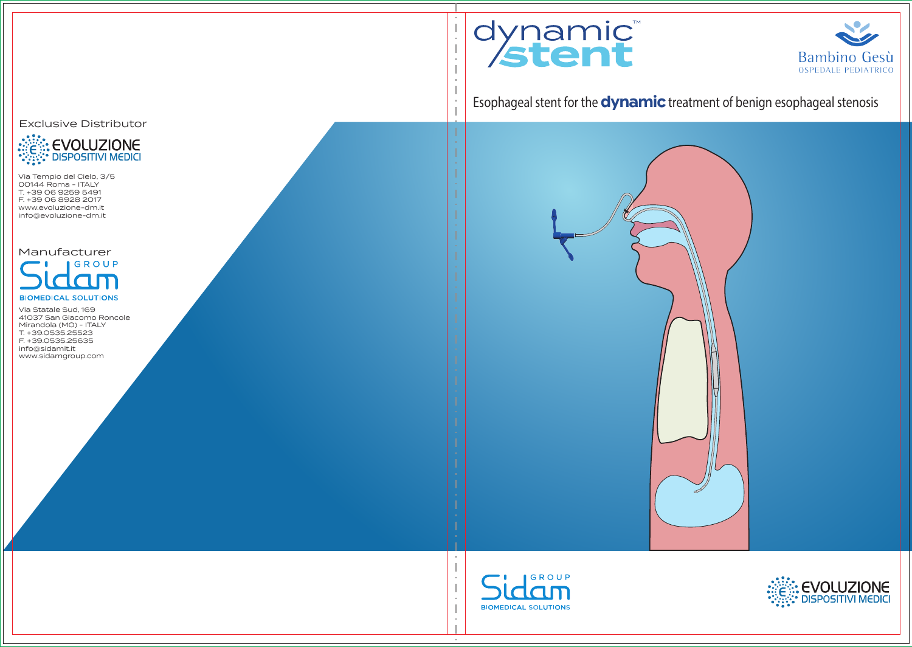



Esophageal stent for the **dynamic** treatment of benign esophageal stenosis







Exclusive Distributor



Via Tempio del Cielo, 3/5 00144 Roma - ITALY T. +39 06 9259 5491 F. +39 06 8928 2017 www.evoluzione-dm.it info@evoluzione-dm.it

Manufacturer GROUP **BIOMEDICAL SOLUTIONS** 

Via Statale Sud, 169 41037 San Giacomo Roncole Mirandola (MO) - ITALY T. +39.0535.25523 F. +39.0535.25635 info@sidamit.it www.sidamgroup.com